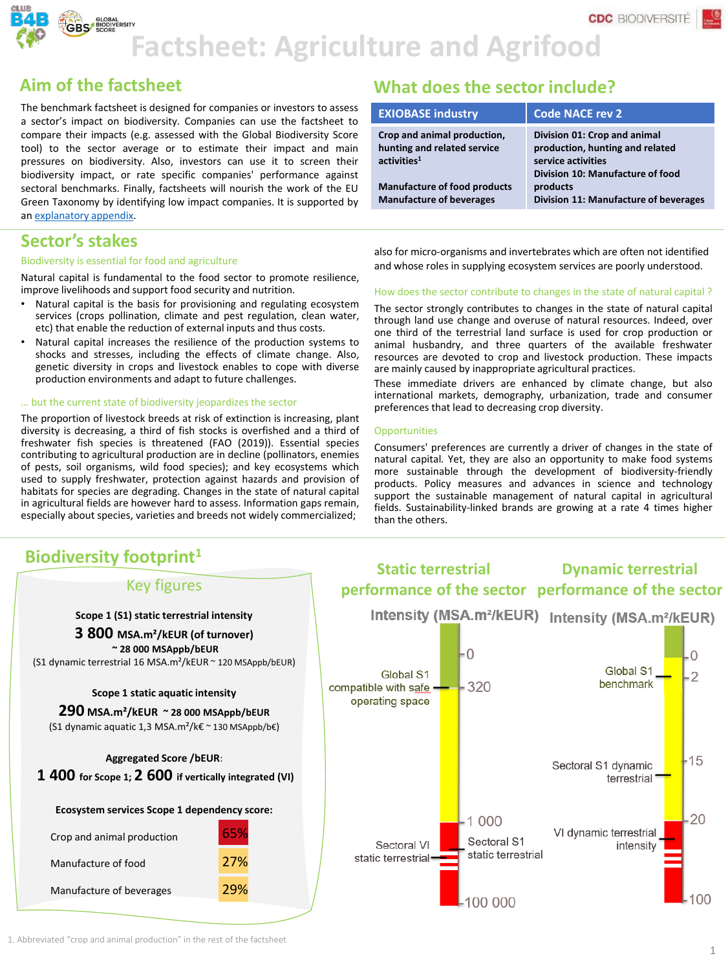## **Aim of the factsheet**

The benchmark factsheet is designed for companies or investors to assess a sector's impact on biodiversity. Companies can use the factsheet to compare their impacts (e.g. assessed with the Global Biodiversity Score tool) to the sector average or to estimate their impact and main pressures on biodiversity. Also, investors can use it to screen their biodiversity impact, or rate specific companies' performance against sectoral benchmarks. Finally, factsheets will nourish the work of the EU Green Taxonomy by identifying low impact companies. It is supported by an [explanatory](https://www.mission-economie-biodiversite.com/downloads/benchmark-factsheet-technical-annex/) appendix.

## **Sector's stakes**

#### Biodiversity is essential for food and agriculture

Natural capital is fundamental to the food sector to promote resilience, improve livelihoods and support food security and nutrition.

- Natural capital is the basis for provisioning and regulating ecosystem services (crops pollination, climate and pest regulation, clean water, etc) that enable the reduction of external inputs and thus costs.
- Natural capital increases the resilience of the production systems to shocks and stresses, including the effects of climate change. Also, genetic diversity in crops and livestock enables to cope with diverse production environments and adapt to future challenges.

#### ... but the current state of biodiversity jeopardizes the sector

The proportion of livestock breeds at risk of extinction is increasing, plant diversity is decreasing, a third of fish stocks is overfished and a third of freshwater fish species is threatened (FAO (2019)). Essential species contributing to agricultural production are in decline (pollinators, enemies of pests, soil organisms, wild food species); and key ecosystems which used to supply freshwater, protection against hazards and provision of habitats for species are degrading. Changes in the state of natural capital in agricultural fields are however hard to assess. Information gaps remain, especially about species, varieties and breeds not widely commercialized;

## **What does the sector include?**

| <b>EXIOBASE industry</b>                                                              | <b>Code NACE rev 2</b>                                                                                                           |
|---------------------------------------------------------------------------------------|----------------------------------------------------------------------------------------------------------------------------------|
| Crop and animal production,<br>hunting and related service<br>activities <sup>1</sup> | Division 01: Crop and animal<br>production, hunting and related<br>service activities<br><b>Division 10: Manufacture of food</b> |
| <b>Manufacture of food products</b><br><b>Manufacture of beverages</b>                | products<br><b>Division 11: Manufacture of beverages</b>                                                                         |

also for micro-organisms and invertebrates which are often not identified and whose roles in supplying ecosystem services are poorly understood.

#### How does the sector contribute to changes in the state of natural capital ?

The sector strongly contributes to changes in the state of natural capital through land use change and overuse of natural resources. Indeed, over one third of the terrestrial land surface is used for crop production or animal husbandry, and three quarters of the available freshwater resources are devoted to crop and livestock production. These impacts are mainly caused by inappropriate agricultural practices.

These immediate drivers are enhanced by climate change, but also international markets, demography, urbanization, trade and consumer preferences that lead to decreasing crop diversity.

#### **Opportunities**

Consumers' preferences are currently a driver of changes in the state of natural capital. Yet, they are also an opportunity to make food systems more sustainable through the development of biodiversity-friendly products. Policy measures and advances in science and technology support the sustainable management of natural capital in agricultural fields. Sustainability-linked brands are growing at a rate 4 times higher than the others.



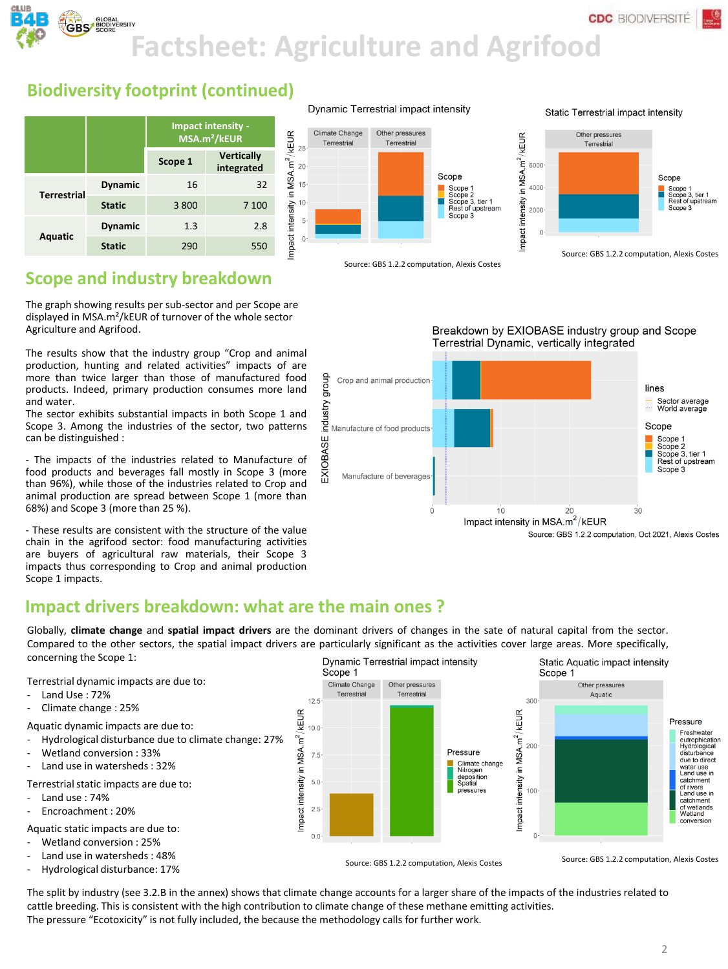## **Biodiversity footprint (continued)**

GLOBAL GLOBAL

**CLUB** 

|                    |                |         | <b>Impact intensity -</b><br>MSA.m <sup>2</sup> /kEUR |
|--------------------|----------------|---------|-------------------------------------------------------|
|                    |                | Scope 1 | <b>Vertically</b><br>integrated                       |
| <b>Terrestrial</b> | <b>Dynamic</b> | 16      | 32                                                    |
|                    | <b>Static</b>  | 3800    | 7 100                                                 |
| <b>Aquatic</b>     | <b>Dynamic</b> | 1.3     | 2.8                                                   |
|                    | <b>Static</b>  | 290     | 550                                                   |

# **Scope and industry breakdown**

The graph showing results per sub-sector and per Scope are displayed in MSA.m²/kEUR of turnover of the whole sector Agriculture and Agrifood.

The results show that the industry group "Crop and animal production, hunting and related activities" impacts of are more than twice larger than those of manufactured food products. Indeed, primary production consumes more land and water.

The sector exhibits substantial impacts in both Scope 1 and Scope 3. Among the industries of the sector, two patterns can be distinguished :

- The impacts of the industries related to Manufacture of food products and beverages fall mostly in Scope 3 (more than 96%), while those of the industries related to Crop and animal production are spread between Scope 1 (more than 68%) and Scope 3 (more than 25 %).

- These results are consistent with the structure of the value chain in the agrifood sector: food manufacturing activities are buyers of agricultural raw materials, their Scope 3 impacts thus corresponding to Crop and animal production Scope 1 impacts.

#### Dynamic Terrestrial impact intensity



#### Static Terrestrial impact intensity



Breakdown by EXIOBASE industry group and Scope Terrestrial Dynamic, vertically integrated



## **Impact drivers breakdown: what are the main ones ?**

Globally, **climate change** and **spatial impact drivers** are the dominant drivers of changes in the sate of natural capital from the sector. Compared to the other sectors, the spatial impact drivers are particularly significant as the activities cover large areas. More specifically, concerning the Scope 1:

Terrestrial dynamic impacts are due to:

- Land Use: 72%
- Climate change : 25%

Aquatic dynamic impacts are due to:

- Hydrological disturbance due to climate change: 27%

- Wetland conversion : 33%
- Land use in watersheds: 32%

Terrestrial static impacts are due to:

- Land use : 74%
- Encroachment: 20%

Aquatic static impacts are due to:

- Wetland conversion : 25%
- Land use in watersheds: 48%
- Hydrological disturbance: 17%



The split by industry (see 3.2.B in the annex) shows that climate change accounts for a larger share of the impacts of the industries related to cattle breeding. This is consistent with the high contribution to climate change of these methane emitting activities. The pressure "Ecotoxicity" is not fully included, the because the methodology calls for further work.

Freshwater

Freshwater<br>eutrophication<br>Hydrological<br>disturbance

due to direct

water use<br>Land use in

catchment of rivers<br>Land use in

catchment of wetlands<br>Wetland

conversion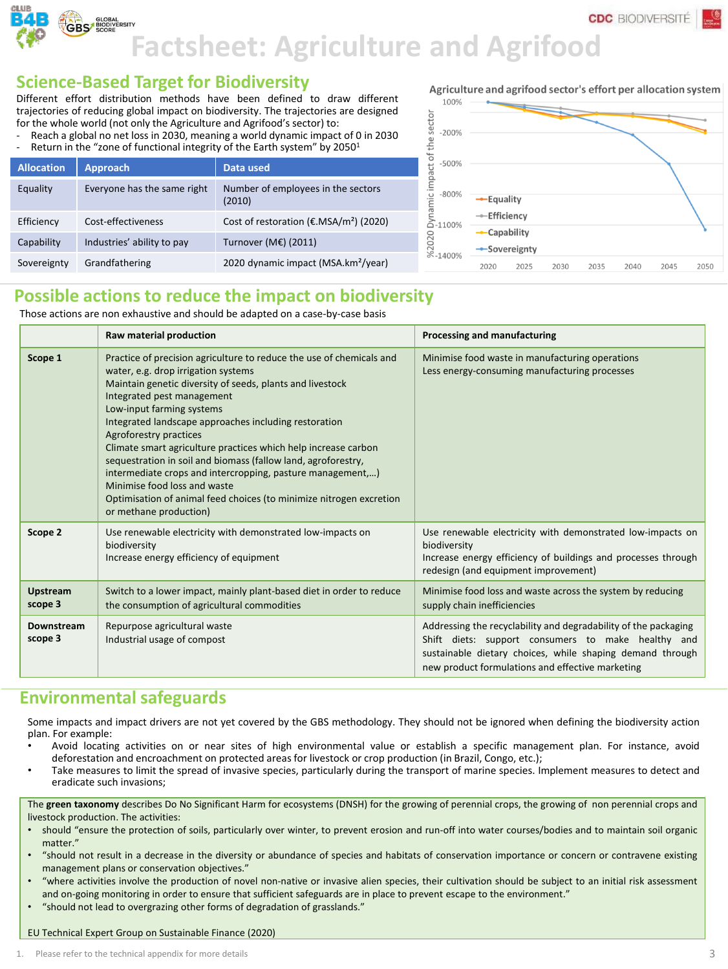## **Science-Based Target for Biodiversity**

GLOBAL SLOBAL<br>GBS SCORE

**CLUB** 

Different effort distribution methods have been defined to draw different trajectories of reducing global impact on biodiversity. The trajectories are designed for the whole world (not only the Agriculture and Agrifood's sector) to:

- Reach a global no net loss in 2030, meaning a world dynamic impact of 0 in 2030
- Return in the "zone of functional integrity of the Earth system" by  $2050<sup>1</sup>$

| <b>Allocation</b> | <b>Approach</b>             | Data used                                                     |
|-------------------|-----------------------------|---------------------------------------------------------------|
| Equality          | Everyone has the same right | Number of employees in the sectors<br>(2010)                  |
| Efficiency        | Cost-effectiveness          | Cost of restoration ( $\epsilon$ .MSA/m <sup>2</sup> ) (2020) |
| Capability        | Industries' ability to pay  | Turnover (M $\epsilon$ ) (2011)                               |
| Sovereignty       | Grandfathering              | 2020 dynamic impact (MSA.km <sup>2</sup> /year)               |



## **Possible actions to reduce the impact on biodiversity**

Those actions are non exhaustive and should be adapted on a case-by-case basis

|                              | Raw material production                                                                                                                                                                                                                                                                                                                                                                                                                                                                                                                                                                                                                                  | <b>Processing and manufacturing</b>                                                                                                                                                                                                    |
|------------------------------|----------------------------------------------------------------------------------------------------------------------------------------------------------------------------------------------------------------------------------------------------------------------------------------------------------------------------------------------------------------------------------------------------------------------------------------------------------------------------------------------------------------------------------------------------------------------------------------------------------------------------------------------------------|----------------------------------------------------------------------------------------------------------------------------------------------------------------------------------------------------------------------------------------|
| Scope 1                      | Practice of precision agriculture to reduce the use of chemicals and<br>water, e.g. drop irrigation systems<br>Maintain genetic diversity of seeds, plants and livestock<br>Integrated pest management<br>Low-input farming systems<br>Integrated landscape approaches including restoration<br>Agroforestry practices<br>Climate smart agriculture practices which help increase carbon<br>sequestration in soil and biomass (fallow land, agroforestry,<br>intermediate crops and intercropping, pasture management,)<br>Minimise food loss and waste<br>Optimisation of animal feed choices (to minimize nitrogen excretion<br>or methane production) | Minimise food waste in manufacturing operations<br>Less energy-consuming manufacturing processes                                                                                                                                       |
| Scope 2                      | Use renewable electricity with demonstrated low-impacts on<br>biodiversity<br>Increase energy efficiency of equipment                                                                                                                                                                                                                                                                                                                                                                                                                                                                                                                                    | Use renewable electricity with demonstrated low-impacts on<br>biodiversity<br>Increase energy efficiency of buildings and processes through<br>redesign (and equipment improvement)                                                    |
| <b>Upstream</b><br>scope 3   | Switch to a lower impact, mainly plant-based diet in order to reduce<br>the consumption of agricultural commodities                                                                                                                                                                                                                                                                                                                                                                                                                                                                                                                                      | Minimise food loss and waste across the system by reducing<br>supply chain inefficiencies                                                                                                                                              |
| <b>Downstream</b><br>scope 3 | Repurpose agricultural waste<br>Industrial usage of compost                                                                                                                                                                                                                                                                                                                                                                                                                                                                                                                                                                                              | Addressing the recyclability and degradability of the packaging<br>Shift diets: support consumers to make healthy and<br>sustainable dietary choices, while shaping demand through<br>new product formulations and effective marketing |

## **Environmental safeguards**

Some impacts and impact drivers are not yet covered by the GBS methodology. They should not be ignored when defining the biodiversity action plan. For example:

- Avoid locating activities on or near sites of high environmental value or establish a specific management plan. For instance, avoid deforestation and encroachment on protected areas for livestock or crop production (in Brazil, Congo, etc.);
- Take measures to limit the spread of invasive species, particularly during the transport of marine species. Implement measures to detect and eradicate such invasions;

The **green taxonomy** describes Do No Significant Harm for ecosystems (DNSH) for the growing of perennial crops, the growing of non perennial crops and livestock production. The activities:

- should "ensure the protection of soils, particularly over winter, to prevent erosion and run-off into water courses/bodies and to maintain soil organic matter."
- "should not result in a decrease in the diversity or abundance of species and habitats of conservation importance or concern or contravene existing management plans or conservation objectives."
- "where activities involve the production of novel non-native or invasive alien species, their cultivation should be subject to an initial risk assessment and on-going monitoring in order to ensure that sufficient safeguards are in place to prevent escape to the environment."
- "should not lead to overgrazing other forms of degradation of grasslands."

EU Technical Expert Group on Sustainable Finance (2020)